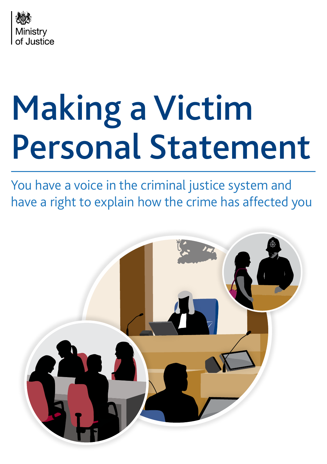

# Making a Victim Personal Statement

You have a voice in the criminal justice system and have a right to explain how the crime has affected you

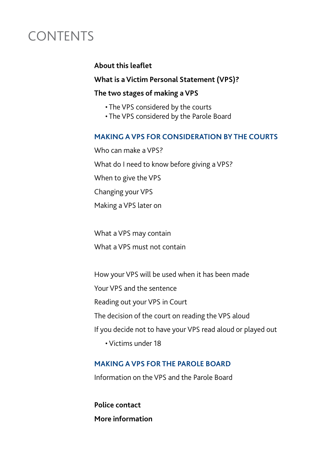# CONTENTS

#### **About this leaflet**

#### **What is a Victim Personal Statement (VPS)?**

#### **The two stages of making a VPS**

- The VPS considered by the courts
- The VPS considered by the Parole Board

#### **MAKING A VPS FOR CONSIDERATION BY THE COURTS**

Who can make a VPS? What do I need to know before giving a VPS? When to give the VPS Changing your VPS Making a VPS later on

What a VPS may contain

What a VPS must not contain

How your VPS will be used when it has been made Your VPS and the sentence Reading out your VPS in Court The decision of the court on reading the VPS aloud If you decide not to have your VPS read aloud or played out • Victims under 18

## **MAKING A VPS FOR THE PAROLE BOARD**

Information on the VPS and the Parole Board

**Police contact More information**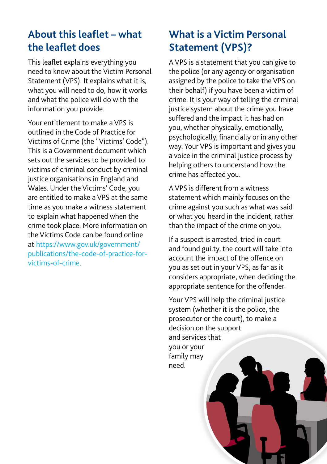# **About this leaflet – what the leaflet does**

This leaflet explains everything you need to know about the Victim Personal Statement (VPS). It explains what it is, what you will need to do, how it works and what the police will do with the information you provide.

Your entitlement to make a VPS is outlined in the Code of Practice for Victims of Crime (the "Victims' Code"). This is a Government document which sets out the services to be provided to victims of criminal conduct by criminal justice organisations in England and Wales. Under the Victims' Code, you are entitled to make a VPS at the same time as you make a witness statement to explain what happened when the crime took place. More information on the Victims Code can be found online at [https://www.gov.uk/government/](https://www.gov.uk/government/publications/the-code-of-practice-for-victims-of-crime) [publications/the-code-of-practice-for](https://www.gov.uk/government/publications/the-code-of-practice-for-victims-of-crime)[victims-of-crime](https://www.gov.uk/government/publications/the-code-of-practice-for-victims-of-crime).

# **What is a Victim Personal Statement (VPS)?**

A VPS is a statement that you can give to the police (or any agency or organisation assigned by the police to take the VPS on their behalf) if you have been a victim of crime. It is your way of telling the criminal justice system about the crime you have suffered and the impact it has had on you, whether physically, emotionally, psychologically, financially or in any other way. Your VPS is important and gives you a voice in the criminal justice process by helping others to understand how the crime has affected you.

A VPS is different from a witness statement which mainly focuses on the crime against you such as what was said or what you heard in the incident, rather than the impact of the crime on you.

If a suspect is arrested, tried in court and found guilty, the court will take into account the impact of the offence on you as set out in your VPS, as far as it considers appropriate, when deciding the appropriate sentence for the offender.

Your VPS will help the criminal justice system (whether it is the police, the prosecutor or the court), to make a decision on the support and services that you or your family may need.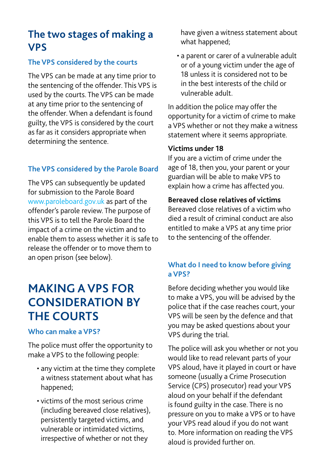## **The two stages of making a VPS**

#### **The VPS considered by the courts**

The VPS can be made at any time prior to the sentencing of the offender. This VPS is used by the courts. The VPS can be made at any time prior to the sentencing of the offender. When a defendant is found guilty, the VPS is considered by the court as far as it considers appropriate when determining the sentence.

#### **The VPS considered by the Parole Board**

The VPS can subsequently be updated for submission to the Parole Board www.paroleboard.gov.uk as part of the offender's parole review. The purpose of this VPS is to tell the Parole Board the impact of a crime on the victim and to enable them to assess whether it is safe to release the offender or to move them to an open prison (see below).

# **MAKING A VPS FOR CONSIDERATION BY THE COURTS**

#### **Who can make a VPS?**

The police must offer the opportunity to make a VPS to the following people:

- any victim at the time they complete a witness statement about what has happened;
- victims of the most serious crime (including bereaved close relatives), persistently targeted victims, and vulnerable or intimidated victims, irrespective of whether or not they

have given a witness statement about what happened;

• a parent or carer of a vulnerable adult or of a young victim under the age of 18 unless it is considered not to be in the best interests of the child or vulnerable adult.

In addition the police may offer the opportunity for a victim of crime to make a VPS whether or not they make a witness statement where it seems appropriate.

#### **Victims under 18**

If you are a victim of crime under the age of 18, then you, your parent or your guardian will be able to make VPS to explain how a crime has affected you.

#### **Bereaved close relatives of victims**

Bereaved close relatives of a victim who died a result of criminal conduct are also entitled to make a VPS at any time prior to the sentencing of the offender.

#### **What do I need to know before giving a VPS?**

Before deciding whether you would like to make a VPS, you will be advised by the police that if the case reaches court, your VPS will be seen by the defence and that you may be asked questions about your VPS during the trial.

The police will ask you whether or not you would like to read relevant parts of your VPS aloud, have it played in court or have someone (usually a Crime Prosecution Service (CPS) prosecutor) read your VPS aloud on your behalf if the defendant is found guilty in the case. There is no pressure on you to make a VPS or to have your VPS read aloud if you do not want to. More information on reading the VPS aloud is provided further on.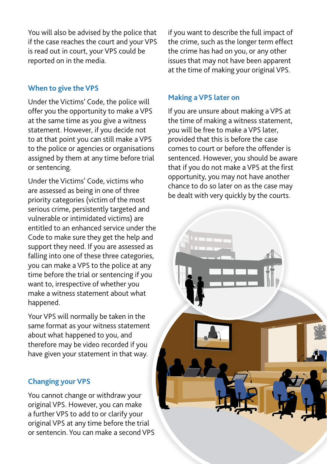You will also be advised by the police that if the case reaches the court and your VPS is read out in court, your VPS could be reported on in the media.

#### **When to give the VPS**

Under the Victims' Code, the police will offer you the opportunity to make a VPS at the same time as you give a witness statement. However, if you decide not to at that point you can still make a VPS to the police or agencies or organisations assigned by them at any time before trial or sentencing.

Under the Victims' Code, victims who are assessed as being in one of three priority categories (victim of the most serious crime, persistently targeted and vulnerable or intimidated victims) are entitled to an enhanced service under the Code to make sure they get the help and support they need. If you are assessed as falling into one of these three categories, you can make a VPS to the police at any time before the trial or sentencing if you want to, irrespective of whether you make a witness statement about what happened.

Your VPS will normally be taken in the same format as your witness statement about what happened to you, and therefore may be video recorded if you have given your statement in that way.

#### **Changing your VPS**

You cannot change or withdraw your original VPS. However, you can make a further VPS to add to or clarify your original VPS at any time before the trial or sentencin. You can make a second VPS if you want to describe the full impact of the crime, such as the longer term effect the crime has had on you, or any other issues that may not have been apparent at the time of making your original VPS.

#### **Making a VPS later on**

If you are unsure about making a VPS at the time of making a witness statement, you will be free to make a VPS later, provided that this is before the case comes to court or before the offender is sentenced. However, you should be aware that if you do not make a VPS at the first opportunity, you may not have another chance to do so later on as the case may be dealt with very quickly by the courts.

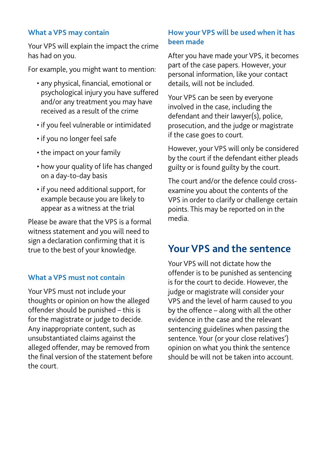#### **What a VPS may contain**

Your VPS will explain the impact the crime has had on you.

For example, you might want to mention:

- any physical, financial, emotional or psychological injury you have suffered and/or any treatment you may have received as a result of the crime
- if you feel vulnerable or intimidated
- if you no longer feel safe
- the impact on your family
- how your quality of life has changed on a day-to-day basis
- if you need additional support, for example because you are likely to appear as a witness at the trial

Please be aware that the VPS is a formal witness statement and you will need to sign a declaration confirming that it is true to the best of your knowledge.

#### **What a VPS must not contain**

Your VPS must not include your thoughts or opinion on how the alleged offender should be punished – this is for the magistrate or judge to decide. Any inappropriate content, such as unsubstantiated claims against the alleged offender, may be removed from the final version of the statement before the court.

#### **How your VPS will be used when it has been made**

After you have made your VPS, it becomes part of the case papers. However, your personal information, like your contact details, will not be included.

Your VPS can be seen by everyone involved in the case, including the defendant and their lawyer(s), police, prosecution, and the judge or magistrate if the case goes to court.

However, your VPS will only be considered by the court if the defendant either pleads guilty or is found guilty by the court.

The court and/or the defence could crossexamine you about the contents of the VPS in order to clarify or challenge certain points. This may be reported on in the media.

## **Your VPS and the sentence**

Your VPS will not dictate how the offender is to be punished as sentencing is for the court to decide. However, the judge or magistrate will consider your VPS and the level of harm caused to you by the offence – along with all the other evidence in the case and the relevant sentencing guidelines when passing the sentence. Your (or your close relatives') opinion on what you think the sentence should be will not be taken into account.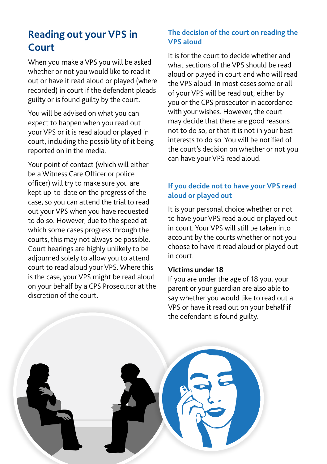# **Reading out your VPS in Court**

When you make a VPS you will be asked whether or not you would like to read it out or have it read aloud or played (where recorded) in court if the defendant pleads guilty or is found guilty by the court.

You will be advised on what you can expect to happen when you read out your VPS or it is read aloud or played in court, including the possibility of it being reported on in the media.

Your point of contact (which will either be a Witness Care Officer or police officer) will try to make sure you are kept up-to-date on the progress of the case, so you can attend the trial to read out your VPS when you have requested to do so. However, due to the speed at which some cases progress through the courts, this may not always be possible. Court hearings are highly unlikely to be adjourned solely to allow you to attend court to read aloud your VPS. Where this is the case, your VPS might be read aloud on your behalf by a CPS Prosecutor at the discretion of the court.

#### **The decision of the court on reading the VPS aloud**

It is for the court to decide whether and what sections of the VPS should be read aloud or played in court and who will read the VPS aloud. In most cases some or all of your VPS will be read out, either by you or the CPS prosecutor in accordance with your wishes. However, the court may decide that there are good reasons not to do so, or that it is not in your best interests to do so. You will be notified of the court's decision on whether or not you can have your VPS read aloud.

#### **If you decide not to have your VPS read aloud or played out**

It is your personal choice whether or not to have your VPS read aloud or played out in court. Your VPS will still be taken into account by the courts whether or not you choose to have it read aloud or played out in court.

#### **Victims under 18**

If you are under the age of 18 you, your parent or your guardian are also able to say whether you would like to read out a VPS or have it read out on your behalf if the defendant is found guilty.

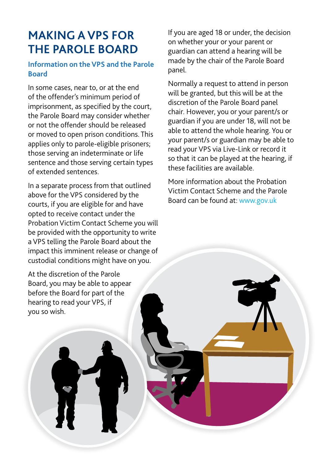# **MAKING A VPS FOR THE PAROLE BOARD**

#### **Information on the VPS and the Parole Board**

In some cases, near to, or at the end of the offender's minimum period of imprisonment, as specified by the court, the Parole Board may consider whether or not the offender should be released or moved to open prison conditions. This applies only to parole-eligible prisoners; those serving an indeterminate or life sentence and those serving certain types of extended sentences.

In a separate process from that outlined above for the VPS considered by the courts, if you are eligible for and have opted to receive contact under the Probation Victim Contact Scheme you will be provided with the opportunity to write a VPS telling the Parole Board about the impact this imminent release or change of custodial conditions might have on you.

At the discretion of the Parole Board, you may be able to appear before the Board for part of the hearing to read your VPS, if you so wish.

If you are aged 18 or under, the decision on whether your or your parent or guardian can attend a hearing will be made by the chair of the Parole Board panel.

Normally a request to attend in person will be granted, but this will be at the discretion of the Parole Board panel chair. However, you or your parent/s or guardian if you are under 18, will not be able to attend the whole hearing. You or your parent/s or guardian may be able to read your VPS via Live-Link or record it so that it can be played at the hearing, if these facilities are available.

More information about the Probation Victim Contact Scheme and the Parole Board can be found at: <www.gov.uk>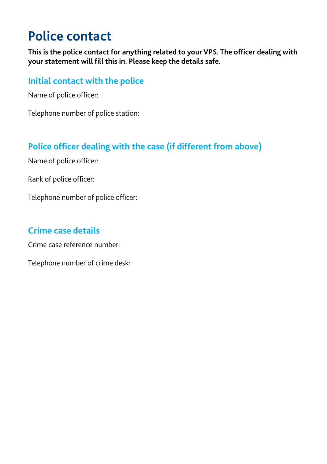# **Police contact**

**This is the police contact for anything related to your VPS. The officer dealing with your statement will fill this in. Please keep the details safe.** 

### **Initial contact with the police**

Name of police officer:

Telephone number of police station:

## **Police officer dealing with the case (if different from above)**

Name of police officer:

Rank of police officer:

Telephone number of police officer:

## **Crime case details**

Crime case reference number:

Telephone number of crime desk: